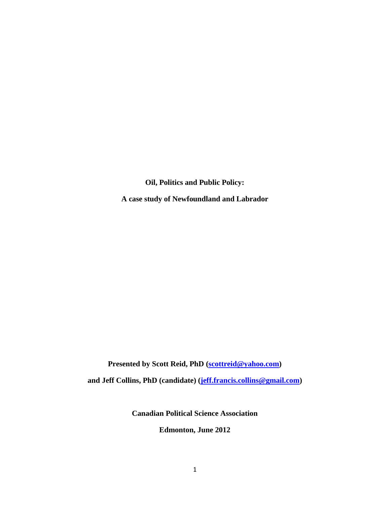**Oil, Politics and Public Policy:**

**A case study of Newfoundland and Labrador**

**Presented by Scott Reid, PhD [\(scottreid@yahoo.com\)](mailto:scottreid@yahoo.com)**

**and Jeff Collins, PhD (candidate) [\(jeff.francis.collins@gmail.com\)](mailto:jeff.francis.collins@gmail.com)** 

**Canadian Political Science Association**

**Edmonton, June 2012**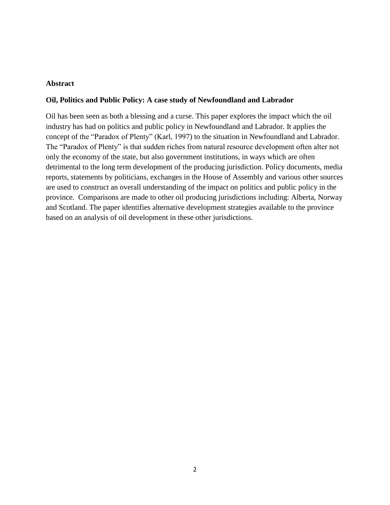### **Abstract**

### **Oil, Politics and Public Policy: A case study of Newfoundland and Labrador**

Oil has been seen as both a blessing and a curse. This paper explores the impact which the oil industry has had on politics and public policy in Newfoundland and Labrador. It applies the concept of the "Paradox of Plenty" (Karl, 1997) to the situation in Newfoundland and Labrador. The "Paradox of Plenty" is that sudden riches from natural resource development often alter not only the economy of the state, but also government institutions, in ways which are often detrimental to the long term development of the producing jurisdiction. Policy documents, media reports, statements by politicians, exchanges in the House of Assembly and various other sources are used to construct an overall understanding of the impact on politics and public policy in the province. Comparisons are made to other oil producing jurisdictions including: Alberta, Norway and Scotland. The paper identifies alternative development strategies available to the province based on an analysis of oil development in these other jurisdictions.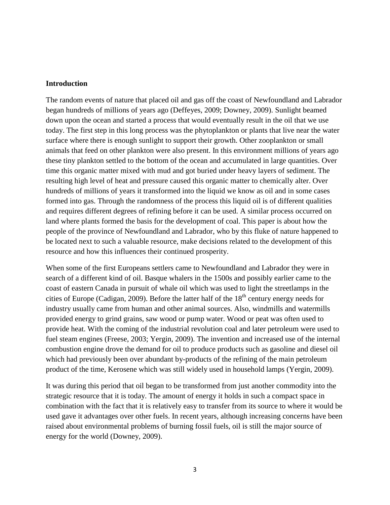#### **Introduction**

The random events of nature that placed oil and gas off the coast of Newfoundland and Labrador began hundreds of millions of years ago (Deffeyes, 2009; Downey, 2009). Sunlight beamed down upon the ocean and started a process that would eventually result in the oil that we use today. The first step in this long process was the phytoplankton or plants that live near the water surface where there is enough sunlight to support their growth. Other zooplankton or small animals that feed on other plankton were also present. In this environment millions of years ago these tiny plankton settled to the bottom of the ocean and accumulated in large quantities. Over time this organic matter mixed with mud and got buried under heavy layers of sediment. The resulting high level of heat and pressure caused this organic matter to chemically alter. Over hundreds of millions of years it transformed into the liquid we know as oil and in some cases formed into gas. Through the randomness of the process this liquid oil is of different qualities and requires different degrees of refining before it can be used. A similar process occurred on land where plants formed the basis for the development of coal. This paper is about how the people of the province of Newfoundland and Labrador, who by this fluke of nature happened to be located next to such a valuable resource, make decisions related to the development of this resource and how this influences their continued prosperity.

When some of the first Europeans settlers came to Newfoundland and Labrador they were in search of a different kind of oil. Basque whalers in the 1500s and possibly earlier came to the coast of eastern Canada in pursuit of whale oil which was used to light the streetlamps in the cities of Europe (Cadigan, 2009). Before the latter half of the  $18<sup>th</sup>$  century energy needs for industry usually came from human and other animal sources. Also, windmills and watermills provided energy to grind grains, saw wood or pump water. Wood or peat was often used to provide heat. With the coming of the industrial revolution coal and later petroleum were used to fuel steam engines (Freese, 2003; Yergin, 2009). The invention and increased use of the internal combustion engine drove the demand for oil to produce products such as gasoline and diesel oil which had previously been over abundant by-products of the refining of the main petroleum product of the time, Kerosene which was still widely used in household lamps (Yergin, 2009).

It was during this period that oil began to be transformed from just another commodity into the strategic resource that it is today. The amount of energy it holds in such a compact space in combination with the fact that it is relatively easy to transfer from its source to where it would be used gave it advantages over other fuels. In recent years, although increasing concerns have been raised about environmental problems of burning fossil fuels, oil is still the major source of energy for the world (Downey, 2009).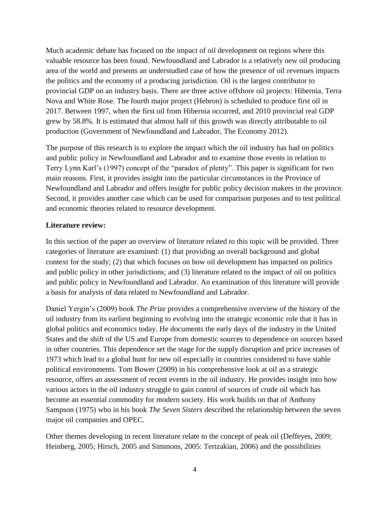Much academic debate has focused on the impact of oil development on regions where this valuable resource has been found. Newfoundland and Labrador is a relatively new oil producing area of the world and presents an understudied case of how the presence of oil revenues impacts the politics and the economy of a producing jurisdiction. Oil is the largest contributor to provincial GDP on an industry basis. There are three active offshore oil projects: Hibernia, Terra Nova and White Rose. The fourth major project (Hebron) is scheduled to produce first oil in 2017. Between 1997, when the first oil from Hibernia occurred, and 2010 provincial real GDP grew by 58.8%. It is estimated that almost half of this growth was directly attributable to oil production (Government of Newfoundland and Labrador, The Economy 2012).

The purpose of this research is to explore the impact which the oil industry has had on politics and public policy in Newfoundland and Labrador and to examine those events in relation to Terry Lynn Karl's (1997) concept of the "paradox of plenty". This paper is significant for two main reasons. First, it provides insight into the particular circumstances in the Province of Newfoundland and Labrador and offers insight for public policy decision makers in the province. Second, it provides another case which can be used for comparison purposes and to test political and economic theories related to resource development.

## **Literature review:**

In this section of the paper an overview of literature related to this topic will be provided. Three categories of literature are examined: (1) that providing an overall background and global context for the study; (2) that which focuses on how oil development has impacted on politics and public policy in other jurisdictions; and (3) literature related to the impact of oil on politics and public policy in Newfoundland and Labrador. An examination of this literature will provide a basis for analysis of data related to Newfoundland and Labrador.

Daniel Yergin's (2009) book *The Prize* provides a comprehensive overview of the history of the oil industry from its earliest beginning to evolving into the strategic economic role that it has in global politics and economics today. He documents the early days of the industry in the United States and the shift of the US and Europe from domestic sources to dependence on sources based in other countries. This dependence set the stage for the supply disruption and price increases of 1973 which lead to a global hunt for new oil especially in countries considered to have stable political environments. Tom Bower (2009) in his comprehensive look at oil as a strategic resource, offers an assessment of recent events in the oil industry. He provides insight into how various actors in the oil industry struggle to gain control of sources of crude oil which has become an essential commodity for modern society. His work builds on that of Anthony Sampson (1975) who in his book *The Seven Sisters* described the relationship between the seven major oil companies and OPEC.

Other themes developing in recent literature relate to the concept of peak oil (Deffeyes, 2009; Heinberg, 2005; Hirsch, 2005 and Simmons, 2005: Tertzakian, 2006) and the possibilities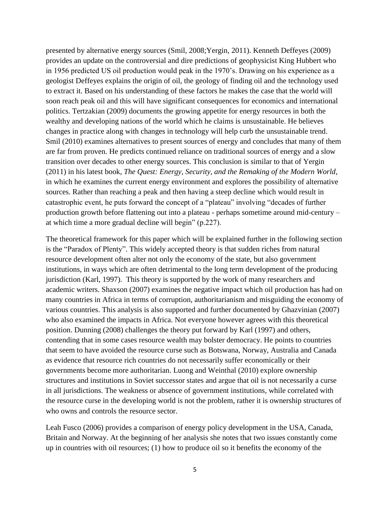presented by alternative energy sources (Smil, 2008;Yergin, 2011). Kenneth Deffeyes (2009) provides an update on the controversial and dire predictions of geophysicist King Hubbert who in 1956 predicted US oil production would peak in the 1970's. Drawing on his experience as a geologist Deffeyes explains the origin of oil, the geology of finding oil and the technology used to extract it. Based on his understanding of these factors he makes the case that the world will soon reach peak oil and this will have significant consequences for economics and international politics. Tertzakian (2009) documents the growing appetite for energy resources in both the wealthy and developing nations of the world which he claims is unsustainable. He believes changes in practice along with changes in technology will help curb the unsustainable trend. Smil (2010) examines alternatives to present sources of energy and concludes that many of them are far from proven. He predicts continued reliance on traditional sources of energy and a slow transition over decades to other energy sources. This conclusion is similar to that of Yergin (2011) in his latest book, *The Quest: Energy, Security, and the Remaking of the Modern World*, in which he examines the current energy environment and explores the possibility of alternative sources. Rather than reaching a peak and then having a steep decline which would result in catastrophic event, he puts forward the concept of a "plateau" involving "decades of further production growth before flattening out into a plateau - perhaps sometime around mid-century – at which time a more gradual decline will begin" (p.227).

The theoretical framework for this paper which will be explained further in the following section is the "Paradox of Plenty". This widely accepted theory is that sudden riches from natural resource development often alter not only the economy of the state, but also government institutions, in ways which are often detrimental to the long term development of the producing jurisdiction (Karl, 1997). This theory is supported by the work of many researchers and academic writers. Shaxson (2007) examines the negative impact which oil production has had on many countries in Africa in terms of corruption, authoritarianism and misguiding the economy of various countries. This analysis is also supported and further documented by Ghazvinian (2007) who also examined the impacts in Africa. Not everyone however agrees with this theoretical position. Dunning (2008) challenges the theory put forward by Karl (1997) and others, contending that in some cases resource wealth may bolster democracy. He points to countries that seem to have avoided the resource curse such as Botswana, Norway, Australia and Canada as evidence that resource rich countries do not necessarily suffer economically or their governments become more authoritarian. Luong and Weinthal (2010) explore ownership structures and institutions in Soviet successor states and argue that oil is not necessarily a curse in all jurisdictions. The weakness or absence of government institutions, while correlated with the resource curse in the developing world is not the problem, rather it is ownership structures of who owns and controls the resource sector.

Leah Fusco (2006) provides a comparison of energy policy development in the USA, Canada, Britain and Norway. At the beginning of her analysis she notes that two issues constantly come up in countries with oil resources; (1) how to produce oil so it benefits the economy of the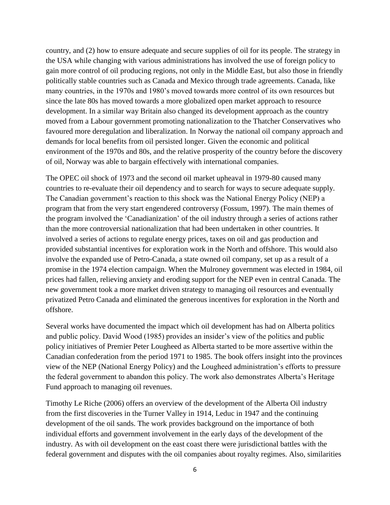country, and (2) how to ensure adequate and secure supplies of oil for its people. The strategy in the USA while changing with various administrations has involved the use of foreign policy to gain more control of oil producing regions, not only in the Middle East, but also those in friendly politically stable countries such as Canada and Mexico through trade agreements. Canada, like many countries, in the 1970s and 1980's moved towards more control of its own resources but since the late 80s has moved towards a more globalized open market approach to resource development. In a similar way Britain also changed its development approach as the country moved from a Labour government promoting nationalization to the Thatcher Conservatives who favoured more deregulation and liberalization. In Norway the national oil company approach and demands for local benefits from oil persisted longer. Given the economic and political environment of the 1970s and 80s, and the relative prosperity of the country before the discovery of oil, Norway was able to bargain effectively with international companies.

The OPEC oil shock of 1973 and the second oil market upheaval in 1979-80 caused many countries to re-evaluate their oil dependency and to search for ways to secure adequate supply. The Canadian government's reaction to this shock was the National Energy Policy (NEP) a program that from the very start engendered controversy (Fossum, 1997). The main themes of the program involved the 'Canadianization' of the oil industry through a series of actions rather than the more controversial nationalization that had been undertaken in other countries. It involved a series of actions to regulate energy prices, taxes on oil and gas production and provided substantial incentives for exploration work in the North and offshore. This would also involve the expanded use of Petro-Canada, a state owned oil company, set up as a result of a promise in the 1974 election campaign. When the Mulroney government was elected in 1984, oil prices had fallen, relieving anxiety and eroding support for the NEP even in central Canada. The new government took a more market driven strategy to managing oil resources and eventually privatized Petro Canada and eliminated the generous incentives for exploration in the North and offshore.

Several works have documented the impact which oil development has had on Alberta politics and public policy. David Wood (1985) provides an insider's view of the politics and public policy initiatives of Premier Peter Lougheed as Alberta started to be more assertive within the Canadian confederation from the period 1971 to 1985. The book offers insight into the provinces view of the NEP (National Energy Policy) and the Lougheed administration's efforts to pressure the federal government to abandon this policy. The work also demonstrates Alberta's Heritage Fund approach to managing oil revenues.

Timothy Le Riche (2006) offers an overview of the development of the Alberta Oil industry from the first discoveries in the Turner Valley in 1914, Leduc in 1947 and the continuing development of the oil sands. The work provides background on the importance of both individual efforts and government involvement in the early days of the development of the industry. As with oil development on the east coast there were jurisdictional battles with the federal government and disputes with the oil companies about royalty regimes. Also, similarities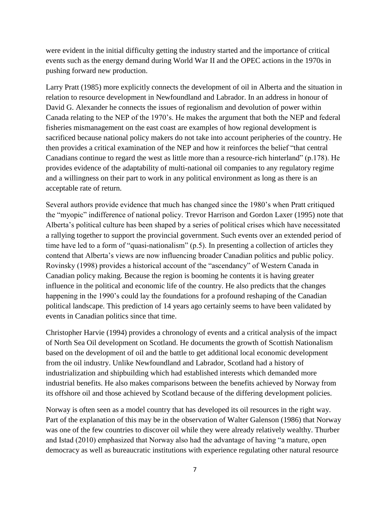were evident in the initial difficulty getting the industry started and the importance of critical events such as the energy demand during World War II and the OPEC actions in the 1970s in pushing forward new production.

Larry Pratt (1985) more explicitly connects the development of oil in Alberta and the situation in relation to resource development in Newfoundland and Labrador. In an address in honour of David G. Alexander he connects the issues of regionalism and devolution of power within Canada relating to the NEP of the 1970's. He makes the argument that both the NEP and federal fisheries mismanagement on the east coast are examples of how regional development is sacrificed because national policy makers do not take into account peripheries of the country. He then provides a critical examination of the NEP and how it reinforces the belief "that central Canadians continue to regard the west as little more than a resource-rich hinterland" (p.178). He provides evidence of the adaptability of multi-national oil companies to any regulatory regime and a willingness on their part to work in any political environment as long as there is an acceptable rate of return.

Several authors provide evidence that much has changed since the 1980's when Pratt critiqued the "myopic" indifference of national policy. Trevor Harrison and Gordon Laxer (1995) note that Alberta's political culture has been shaped by a series of political crises which have necessitated a rallying together to support the provincial government. Such events over an extended period of time have led to a form of "quasi-nationalism" (p.5). In presenting a collection of articles they contend that Alberta's views are now influencing broader Canadian politics and public policy. Rovinsky (1998) provides a historical account of the "ascendancy" of Western Canada in Canadian policy making. Because the region is booming he contents it is having greater influence in the political and economic life of the country. He also predicts that the changes happening in the 1990's could lay the foundations for a profound reshaping of the Canadian political landscape. This prediction of 14 years ago certainly seems to have been validated by events in Canadian politics since that time.

Christopher Harvie (1994) provides a chronology of events and a critical analysis of the impact of North Sea Oil development on Scotland. He documents the growth of Scottish Nationalism based on the development of oil and the battle to get additional local economic development from the oil industry. Unlike Newfoundland and Labrador, Scotland had a history of industrialization and shipbuilding which had established interests which demanded more industrial benefits. He also makes comparisons between the benefits achieved by Norway from its offshore oil and those achieved by Scotland because of the differing development policies.

Norway is often seen as a model country that has developed its oil resources in the right way. Part of the explanation of this may be in the observation of Walter Galenson (1986) that Norway was one of the few countries to discover oil while they were already relatively wealthy. Thurber and Istad (2010) emphasized that Norway also had the advantage of having "a mature, open democracy as well as bureaucratic institutions with experience regulating other natural resource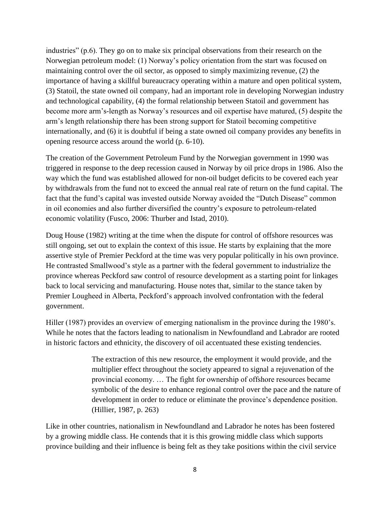industries" (p.6). They go on to make six principal observations from their research on the Norwegian petroleum model: (1) Norway's policy orientation from the start was focused on maintaining control over the oil sector, as opposed to simply maximizing revenue, (2) the importance of having a skillful bureaucracy operating within a mature and open political system, (3) Statoil, the state owned oil company, had an important role in developing Norwegian industry and technological capability, (4) the formal relationship between Statoil and government has become more arm's-length as Norway's resources and oil expertise have matured, (5) despite the arm's length relationship there has been strong support for Statoil becoming competitive internationally, and (6) it is doubtful if being a state owned oil company provides any benefits in opening resource access around the world (p. 6-10).

The creation of the Government Petroleum Fund by the Norwegian government in 1990 was triggered in response to the deep recession caused in Norway by oil price drops in 1986. Also the way which the fund was established allowed for non-oil budget deficits to be covered each year by withdrawals from the fund not to exceed the annual real rate of return on the fund capital. The fact that the fund's capital was invested outside Norway avoided the "Dutch Disease" common in oil economies and also further diversified the country's exposure to petroleum-related economic volatility (Fusco, 2006: Thurber and Istad, 2010).

Doug House (1982) writing at the time when the dispute for control of offshore resources was still ongoing, set out to explain the context of this issue. He starts by explaining that the more assertive style of Premier Peckford at the time was very popular politically in his own province. He contrasted Smallwood's style as a partner with the federal government to industrialize the province whereas Peckford saw control of resource development as a starting point for linkages back to local servicing and manufacturing. House notes that, similar to the stance taken by Premier Lougheed in Alberta, Peckford's approach involved confrontation with the federal government.

Hiller (1987) provides an overview of emerging nationalism in the province during the 1980's. While he notes that the factors leading to nationalism in Newfoundland and Labrador are rooted in historic factors and ethnicity, the discovery of oil accentuated these existing tendencies.

> The extraction of this new resource, the employment it would provide, and the multiplier effect throughout the society appeared to signal a rejuvenation of the provincial economy. … The fight for ownership of offshore resources became symbolic of the desire to enhance regional control over the pace and the nature of development in order to reduce or eliminate the province's dependence position. (Hillier, 1987, p. 263)

Like in other countries, nationalism in Newfoundland and Labrador he notes has been fostered by a growing middle class. He contends that it is this growing middle class which supports province building and their influence is being felt as they take positions within the civil service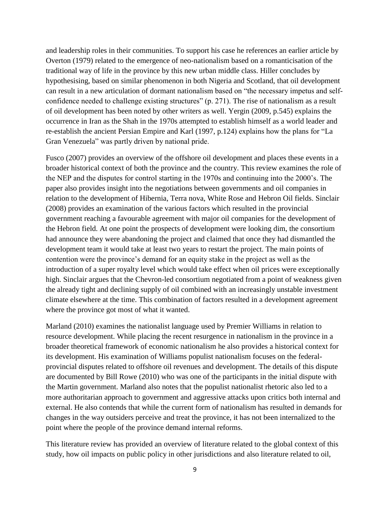and leadership roles in their communities. To support his case he references an earlier article by Overton (1979) related to the emergence of neo-nationalism based on a romanticisation of the traditional way of life in the province by this new urban middle class. Hiller concludes by hypothesising, based on similar phenomenon in both Nigeria and Scotland, that oil development can result in a new articulation of dormant nationalism based on "the necessary impetus and selfconfidence needed to challenge existing structures" (p. 271). The rise of nationalism as a result of oil development has been noted by other writers as well. Yergin (2009, p.545) explains the occurrence in Iran as the Shah in the 1970s attempted to establish himself as a world leader and re-establish the ancient Persian Empire and Karl (1997, p.124) explains how the plans for "La Gran Venezuela" was partly driven by national pride.

Fusco (2007) provides an overview of the offshore oil development and places these events in a broader historical context of both the province and the country. This review examines the role of the NEP and the disputes for control starting in the 1970s and continuing into the 2000's. The paper also provides insight into the negotiations between governments and oil companies in relation to the development of Hibernia, Terra nova, White Rose and Hebron Oil fields. Sinclair (2008) provides an examination of the various factors which resulted in the provincial government reaching a favourable agreement with major oil companies for the development of the Hebron field. At one point the prospects of development were looking dim, the consortium had announce they were abandoning the project and claimed that once they had dismantled the development team it would take at least two years to restart the project. The main points of contention were the province's demand for an equity stake in the project as well as the introduction of a super royalty level which would take effect when oil prices were exceptionally high. Sinclair argues that the Chevron-led consortium negotiated from a point of weakness given the already tight and declining supply of oil combined with an increasingly unstable investment climate elsewhere at the time. This combination of factors resulted in a development agreement where the province got most of what it wanted.

Marland (2010) examines the nationalist language used by Premier Williams in relation to resource development. While placing the recent resurgence in nationalism in the province in a broader theoretical framework of economic nationalism he also provides a historical context for its development. His examination of Williams populist nationalism focuses on the federalprovincial disputes related to offshore oil revenues and development. The details of this dispute are documented by Bill Rowe (2010) who was one of the participants in the initial dispute with the Martin government. Marland also notes that the populist nationalist rhetoric also led to a more authoritarian approach to government and aggressive attacks upon critics both internal and external. He also contends that while the current form of nationalism has resulted in demands for changes in the way outsiders perceive and treat the province, it has not been internalized to the point where the people of the province demand internal reforms.

This literature review has provided an overview of literature related to the global context of this study, how oil impacts on public policy in other jurisdictions and also literature related to oil,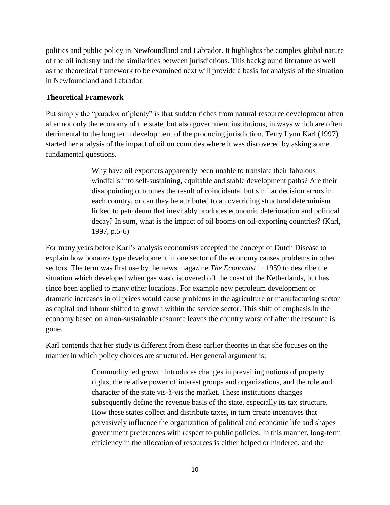politics and public policy in Newfoundland and Labrador. It highlights the complex global nature of the oil industry and the similarities between jurisdictions. This background literature as well as the theoretical framework to be examined next will provide a basis for analysis of the situation in Newfoundland and Labrador.

## **Theoretical Framework**

Put simply the "paradox of plenty" is that sudden riches from natural resource development often alter not only the economy of the state, but also government institutions, in ways which are often detrimental to the long term development of the producing jurisdiction. Terry Lynn Karl (1997) started her analysis of the impact of oil on countries where it was discovered by asking some fundamental questions.

> Why have oil exporters apparently been unable to translate their fabulous windfalls into self-sustaining, equitable and stable development paths? Are their disappointing outcomes the result of coincidental but similar decision errors in each country, or can they be attributed to an overriding structural determinism linked to petroleum that inevitably produces economic deterioration and political decay? In sum, what is the impact of oil booms on oil-exporting countries? (Karl, 1997, p.5-6)

For many years before Karl's analysis economists accepted the concept of Dutch Disease to explain how bonanza type development in one sector of the economy causes problems in other sectors. The term was first use by the news magazine *The Economist* in 1959 to describe the situation which developed when gas was discovered off the coast of the Netherlands, but has since been applied to many other locations. For example new petroleum development or dramatic increases in oil prices would cause problems in the agriculture or manufacturing sector as capital and labour shifted to growth within the service sector. This shift of emphasis in the economy based on a non-sustainable resource leaves the country worst off after the resource is gone.

Karl contends that her study is different from these earlier theories in that she focuses on the manner in which policy choices are structured. Her general argument is;

> Commodity led growth introduces changes in prevailing notions of property rights, the relative power of interest groups and organizations, and the role and character of the state vis-à-vis the market. These institutions changes subsequently define the revenue basis of the state, especially its tax structure. How these states collect and distribute taxes, in turn create incentives that pervasively influence the organization of political and economic life and shapes government preferences with respect to public policies. In this manner, long-term efficiency in the allocation of resources is either helped or hindered, and the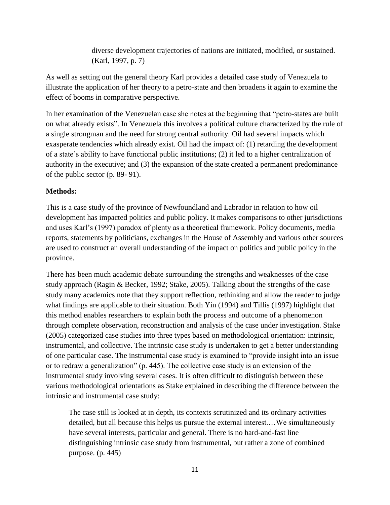diverse development trajectories of nations are initiated, modified, or sustained. (Karl, 1997, p. 7)

As well as setting out the general theory Karl provides a detailed case study of Venezuela to illustrate the application of her theory to a petro-state and then broadens it again to examine the effect of booms in comparative perspective.

In her examination of the Venezuelan case she notes at the beginning that "petro-states are built on what already exists". In Venezuela this involves a political culture characterized by the rule of a single strongman and the need for strong central authority. Oil had several impacts which exasperate tendencies which already exist. Oil had the impact of: (1) retarding the development of a state's ability to have functional public institutions; (2) it led to a higher centralization of authority in the executive; and (3) the expansion of the state created a permanent predominance of the public sector (p. 89- 91).

# **Methods:**

This is a case study of the province of Newfoundland and Labrador in relation to how oil development has impacted politics and public policy. It makes comparisons to other jurisdictions and uses Karl's (1997) paradox of plenty as a theoretical framework. Policy documents, media reports, statements by politicians, exchanges in the House of Assembly and various other sources are used to construct an overall understanding of the impact on politics and public policy in the province.

There has been much academic debate surrounding the strengths and weaknesses of the case study approach (Ragin & Becker, 1992; Stake, 2005). Talking about the strengths of the case study many academics note that they support reflection, rethinking and allow the reader to judge what findings are applicable to their situation. Both Yin (1994) and Tillis (1997) highlight that this method enables researchers to explain both the process and outcome of a phenomenon through complete observation, reconstruction and analysis of the case under investigation. Stake (2005) categorized case studies into three types based on methodological orientation: intrinsic, instrumental, and collective. The intrinsic case study is undertaken to get a better understanding of one particular case. The instrumental case study is examined to "provide insight into an issue or to redraw a generalization" (p. 445). The collective case study is an extension of the instrumental study involving several cases. It is often difficult to distinguish between these various methodological orientations as Stake explained in describing the difference between the intrinsic and instrumental case study:

The case still is looked at in depth, its contexts scrutinized and its ordinary activities detailed, but all because this helps us pursue the external interest.…We simultaneously have several interests, particular and general. There is no hard-and-fast line distinguishing intrinsic case study from instrumental, but rather a zone of combined purpose. (p. 445)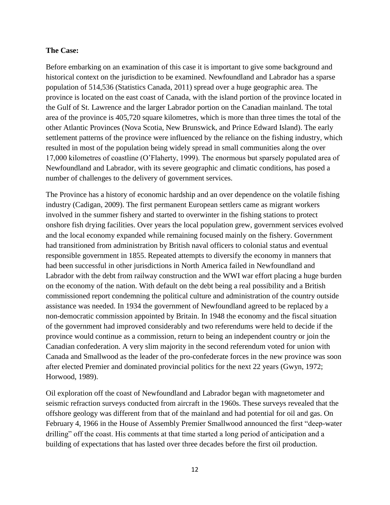### **The Case:**

Before embarking on an examination of this case it is important to give some background and historical context on the jurisdiction to be examined. Newfoundland and Labrador has a sparse population of 514,536 (Statistics Canada, 2011) spread over a huge geographic area. The province is located on the east coast of Canada, with the island portion of the province located in the Gulf of St. Lawrence and the larger Labrador portion on the Canadian mainland. The total area of the province is 405,720 square kilometres, which is more than three times the total of the other Atlantic Provinces (Nova Scotia, New Brunswick, and Prince Edward Island). The early settlement patterns of the province were influenced by the reliance on the fishing industry, which resulted in most of the population being widely spread in small communities along the over 17,000 kilometres of coastline (O'Flaherty, 1999). The enormous but sparsely populated area of Newfoundland and Labrador, with its severe geographic and climatic conditions, has posed a number of challenges to the delivery of government services.

The Province has a history of economic hardship and an over dependence on the volatile fishing industry (Cadigan, 2009). The first permanent European settlers came as migrant workers involved in the summer fishery and started to overwinter in the fishing stations to protect onshore fish drying facilities. Over years the local population grew, government services evolved and the local economy expanded while remaining focused mainly on the fishery. Government had transitioned from administration by British naval officers to colonial status and eventual responsible government in 1855. Repeated attempts to diversify the economy in manners that had been successful in other jurisdictions in North America failed in Newfoundland and Labrador with the debt from railway construction and the WWI war effort placing a huge burden on the economy of the nation. With default on the debt being a real possibility and a British commissioned report condemning the political culture and administration of the country outside assistance was needed. In 1934 the government of Newfoundland agreed to be replaced by a non-democratic commission appointed by Britain. In 1948 the economy and the fiscal situation of the government had improved considerably and two referendums were held to decide if the province would continue as a commission, return to being an independent country or join the Canadian confederation. A very slim majority in the second referendum voted for union with Canada and Smallwood as the leader of the pro-confederate forces in the new province was soon after elected Premier and dominated provincial politics for the next 22 years (Gwyn, 1972; Horwood, 1989).

Oil exploration off the coast of Newfoundland and Labrador began with magnetometer and seismic refraction surveys conducted from aircraft in the 1960s. These surveys revealed that the offshore geology was different from that of the mainland and had potential for oil and gas. On February 4, 1966 in the House of Assembly Premier Smallwood announced the first "deep-water drilling" off the coast. His comments at that time started a long period of anticipation and a building of expectations that has lasted over three decades before the first oil production.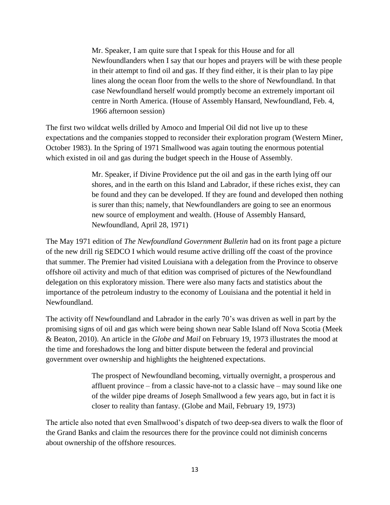Mr. Speaker, I am quite sure that I speak for this House and for all Newfoundlanders when I say that our hopes and prayers will be with these people in their attempt to find oil and gas. If they find either, it is their plan to lay pipe lines along the ocean floor from the wells to the shore of Newfoundland. In that case Newfoundland herself would promptly become an extremely important oil centre in North America. (House of Assembly Hansard, Newfoundland, Feb. 4, 1966 afternoon session)

The first two wildcat wells drilled by Amoco and Imperial Oil did not live up to these expectations and the companies stopped to reconsider their exploration program (Western Miner, October 1983). In the Spring of 1971 Smallwood was again touting the enormous potential which existed in oil and gas during the budget speech in the House of Assembly.

> Mr. Speaker, if Divine Providence put the oil and gas in the earth lying off our shores, and in the earth on this Island and Labrador, if these riches exist, they can be found and they can be developed. If they are found and developed then nothing is surer than this; namely, that Newfoundlanders are going to see an enormous new source of employment and wealth. (House of Assembly Hansard, Newfoundland, April 28, 1971)

The May 1971 edition of *The Newfoundland Government Bulletin* had on its front page a picture of the new drill rig SEDCO I which would resume active drilling off the coast of the province that summer. The Premier had visited Louisiana with a delegation from the Province to observe offshore oil activity and much of that edition was comprised of pictures of the Newfoundland delegation on this exploratory mission. There were also many facts and statistics about the importance of the petroleum industry to the economy of Louisiana and the potential it held in Newfoundland.

The activity off Newfoundland and Labrador in the early 70's was driven as well in part by the promising signs of oil and gas which were being shown near Sable Island off Nova Scotia (Meek & Beaton, 2010). An article in the *Globe and Mail* on February 19, 1973 illustrates the mood at the time and foreshadows the long and bitter dispute between the federal and provincial government over ownership and highlights the heightened expectations.

> The prospect of Newfoundland becoming, virtually overnight, a prosperous and affluent province – from a classic have-not to a classic have – may sound like one of the wilder pipe dreams of Joseph Smallwood a few years ago, but in fact it is closer to reality than fantasy. (Globe and Mail, February 19, 1973)

The article also noted that even Smallwood's dispatch of two deep-sea divers to walk the floor of the Grand Banks and claim the resources there for the province could not diminish concerns about ownership of the offshore resources.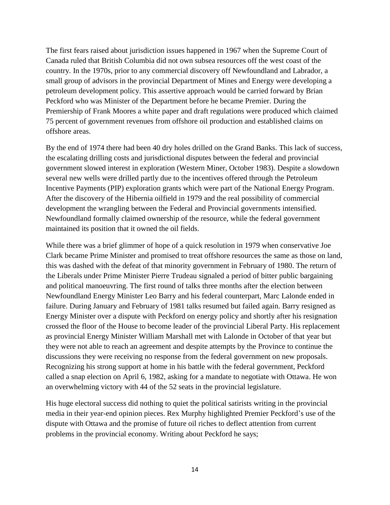The first fears raised about jurisdiction issues happened in 1967 when the Supreme Court of Canada ruled that British Columbia did not own subsea resources off the west coast of the country. In the 1970s, prior to any commercial discovery off Newfoundland and Labrador, a small group of advisors in the provincial Department of Mines and Energy were developing a petroleum development policy. This assertive approach would be carried forward by Brian Peckford who was Minister of the Department before he became Premier. During the Premiership of Frank Moores a white paper and draft regulations were produced which claimed 75 percent of government revenues from offshore oil production and established claims on offshore areas.

By the end of 1974 there had been 40 dry holes drilled on the Grand Banks. This lack of success, the escalating drilling costs and jurisdictional disputes between the federal and provincial government slowed interest in exploration (Western Miner, October 1983). Despite a slowdown several new wells were drilled partly due to the incentives offered through the Petroleum Incentive Payments (PIP) exploration grants which were part of the National Energy Program. After the discovery of the Hibernia oilfield in 1979 and the real possibility of commercial development the wrangling between the Federal and Provincial governments intensified. Newfoundland formally claimed ownership of the resource, while the federal government maintained its position that it owned the oil fields.

While there was a brief glimmer of hope of a quick resolution in 1979 when conservative Joe Clark became Prime Minister and promised to treat offshore resources the same as those on land, this was dashed with the defeat of that minority government in February of 1980. The return of the Liberals under Prime Minister Pierre Trudeau signaled a period of bitter public bargaining and political manoeuvring. The first round of talks three months after the election between Newfoundland Energy Minister Leo Barry and his federal counterpart, Marc Lalonde ended in failure. During January and February of 1981 talks resumed but failed again. Barry resigned as Energy Minister over a dispute with Peckford on energy policy and shortly after his resignation crossed the floor of the House to become leader of the provincial Liberal Party. His replacement as provincial Energy Minister William Marshall met with Lalonde in October of that year but they were not able to reach an agreement and despite attempts by the Province to continue the discussions they were receiving no response from the federal government on new proposals. Recognizing his strong support at home in his battle with the federal government, Peckford called a snap election on April 6, 1982, asking for a mandate to negotiate with Ottawa. He won an overwhelming victory with 44 of the 52 seats in the provincial legislature.

His huge electoral success did nothing to quiet the political satirists writing in the provincial media in their year-end opinion pieces. Rex Murphy highlighted Premier Peckford's use of the dispute with Ottawa and the promise of future oil riches to deflect attention from current problems in the provincial economy. Writing about Peckford he says;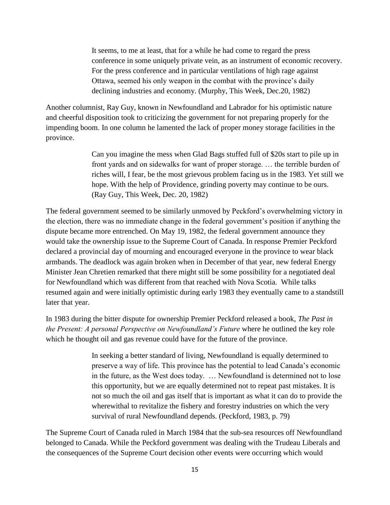It seems, to me at least, that for a while he had come to regard the press conference in some uniquely private vein, as an instrument of economic recovery. For the press conference and in particular ventilations of high rage against Ottawa, seemed his only weapon in the combat with the province's daily declining industries and economy. (Murphy, This Week, Dec.20, 1982)

Another columnist, Ray Guy, known in Newfoundland and Labrador for his optimistic nature and cheerful disposition took to criticizing the government for not preparing properly for the impending boom. In one column he lamented the lack of proper money storage facilities in the province.

> Can you imagine the mess when Glad Bags stuffed full of \$20s start to pile up in front yards and on sidewalks for want of proper storage. … the terrible burden of riches will, I fear, be the most grievous problem facing us in the 1983. Yet still we hope. With the help of Providence, grinding poverty may continue to be ours. (Ray Guy, This Week, Dec. 20, 1982)

The federal government seemed to be similarly unmoved by Peckford's overwhelming victory in the election, there was no immediate change in the federal government's position if anything the dispute became more entrenched. On May 19, 1982, the federal government announce they would take the ownership issue to the Supreme Court of Canada. In response Premier Peckford declared a provincial day of mourning and encouraged everyone in the province to wear black armbands. The deadlock was again broken when in December of that year, new federal Energy Minister Jean Chretien remarked that there might still be some possibility for a negotiated deal for Newfoundland which was different from that reached with Nova Scotia. While talks resumed again and were initially optimistic during early 1983 they eventually came to a standstill later that year.

In 1983 during the bitter dispute for ownership Premier Peckford released a book, *The Past in the Present: A personal Perspective on Newfoundland's Future* where he outlined the key role which he thought oil and gas revenue could have for the future of the province.

> In seeking a better standard of living, Newfoundland is equally determined to preserve a way of life. This province has the potential to lead Canada's economic in the future, as the West does today. … Newfoundland is determined not to lose this opportunity, but we are equally determined not to repeat past mistakes. It is not so much the oil and gas itself that is important as what it can do to provide the wherewithal to revitalize the fishery and forestry industries on which the very survival of rural Newfoundland depends. (Peckford, 1983, p. 79)

The Supreme Court of Canada ruled in March 1984 that the sub-sea resources off Newfoundland belonged to Canada. While the Peckford government was dealing with the Trudeau Liberals and the consequences of the Supreme Court decision other events were occurring which would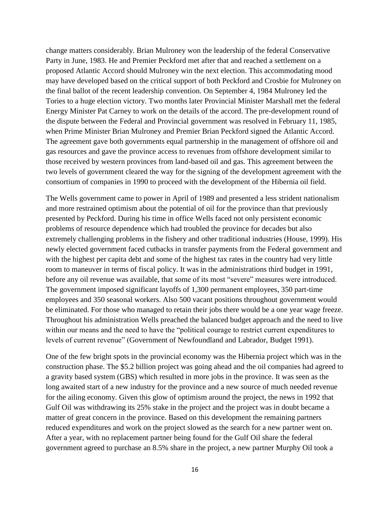change matters considerably. Brian Mulroney won the leadership of the federal Conservative Party in June, 1983. He and Premier Peckford met after that and reached a settlement on a proposed Atlantic Accord should Mulroney win the next election. This accommodating mood may have developed based on the critical support of both Peckford and Crosbie for Mulroney on the final ballot of the recent leadership convention. On September 4, 1984 Mulroney led the Tories to a huge election victory. Two months later Provincial Minister Marshall met the federal Energy Minister Pat Carney to work on the details of the accord. The pre-development round of the dispute between the Federal and Provincial government was resolved in February 11, 1985, when Prime Minister Brian Mulroney and Premier Brian Peckford signed the Atlantic Accord. The agreement gave both governments equal partnership in the management of offshore oil and gas resources and gave the province access to revenues from offshore development similar to those received by western provinces from land-based oil and gas. This agreement between the two levels of government cleared the way for the signing of the development agreement with the consortium of companies in 1990 to proceed with the development of the Hibernia oil field.

The Wells government came to power in April of 1989 and presented a less strident nationalism and more restrained optimism about the potential of oil for the province than that previously presented by Peckford. During his time in office Wells faced not only persistent economic problems of resource dependence which had troubled the province for decades but also extremely challenging problems in the fishery and other traditional industries (House, 1999). His newly elected government faced cutbacks in transfer payments from the Federal government and with the highest per capita debt and some of the highest tax rates in the country had very little room to maneuver in terms of fiscal policy. It was in the administrations third budget in 1991, before any oil revenue was available, that some of its most "severe" measures were introduced. The government imposed significant layoffs of 1,300 permanent employees, 350 part-time employees and 350 seasonal workers. Also 500 vacant positions throughout government would be eliminated. For those who managed to retain their jobs there would be a one year wage freeze. Throughout his administration Wells preached the balanced budget approach and the need to live within our means and the need to have the "political courage to restrict current expenditures to levels of current revenue" (Government of Newfoundland and Labrador, Budget 1991).

One of the few bright spots in the provincial economy was the Hibernia project which was in the construction phase. The \$5.2 billion project was going ahead and the oil companies had agreed to a gravity based system (GBS) which resulted in more jobs in the province. It was seen as the long awaited start of a new industry for the province and a new source of much needed revenue for the ailing economy. Given this glow of optimism around the project, the news in 1992 that Gulf Oil was withdrawing its 25% stake in the project and the project was in doubt became a matter of great concern in the province. Based on this development the remaining partners reduced expenditures and work on the project slowed as the search for a new partner went on. After a year, with no replacement partner being found for the Gulf Oil share the federal government agreed to purchase an 8.5% share in the project, a new partner Murphy Oil took a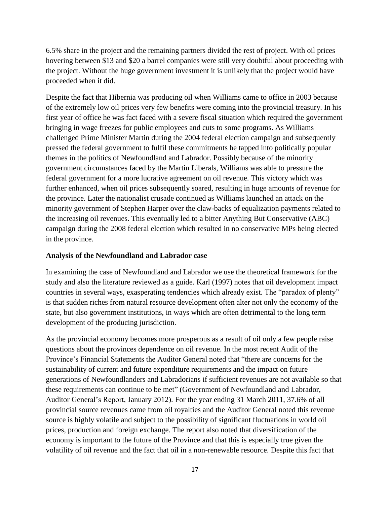6.5% share in the project and the remaining partners divided the rest of project. With oil prices hovering between \$13 and \$20 a barrel companies were still very doubtful about proceeding with the project. Without the huge government investment it is unlikely that the project would have proceeded when it did.

Despite the fact that Hibernia was producing oil when Williams came to office in 2003 because of the extremely low oil prices very few benefits were coming into the provincial treasury. In his first year of office he was fact faced with a severe fiscal situation which required the government bringing in wage freezes for public employees and cuts to some programs. As Williams challenged Prime Minister Martin during the 2004 federal election campaign and subsequently pressed the federal government to fulfil these commitments he tapped into politically popular themes in the politics of Newfoundland and Labrador. Possibly because of the minority government circumstances faced by the Martin Liberals, Williams was able to pressure the federal government for a more lucrative agreement on oil revenue. This victory which was further enhanced, when oil prices subsequently soared, resulting in huge amounts of revenue for the province. Later the nationalist crusade continued as Williams launched an attack on the minority government of Stephen Harper over the claw-backs of equalization payments related to the increasing oil revenues. This eventually led to a bitter Anything But Conservative (ABC) campaign during the 2008 federal election which resulted in no conservative MPs being elected in the province.

## **Analysis of the Newfoundland and Labrador case**

In examining the case of Newfoundland and Labrador we use the theoretical framework for the study and also the literature reviewed as a guide. Karl (1997) notes that oil development impact countries in several ways, exasperating tendencies which already exist. The "paradox of plenty" is that sudden riches from natural resource development often alter not only the economy of the state, but also government institutions, in ways which are often detrimental to the long term development of the producing jurisdiction.

As the provincial economy becomes more prosperous as a result of oil only a few people raise questions about the provinces dependence on oil revenue. In the most recent Audit of the Province's Financial Statements the Auditor General noted that "there are concerns for the sustainability of current and future expenditure requirements and the impact on future generations of Newfoundlanders and Labradorians if sufficient revenues are not available so that these requirements can continue to be met" (Government of Newfoundland and Labrador, Auditor General's Report, January 2012). For the year ending 31 March 2011, 37.6% of all provincial source revenues came from oil royalties and the Auditor General noted this revenue source is highly volatile and subject to the possibility of significant fluctuations in world oil prices, production and foreign exchange. The report also noted that diversification of the economy is important to the future of the Province and that this is especially true given the volatility of oil revenue and the fact that oil in a non-renewable resource. Despite this fact that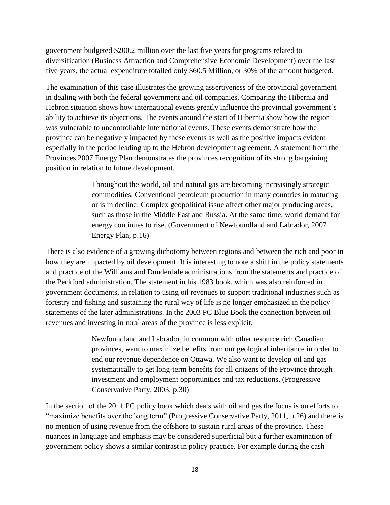government budgeted \$200.2 million over the last five years for programs related to diversification (Business Attraction and Comprehensive Economic Development) over the last five years, the actual expenditure totalled only \$60.5 Million, or 30% of the amount budgeted.

The examination of this case illustrates the growing assertiveness of the provincial government in dealing with both the federal government and oil companies. Comparing the Hibernia and Hebron situation shows how international events greatly influence the provincial government's ability to achieve its objections. The events around the start of Hibernia show how the region was vulnerable to uncontrollable international events. These events demonstrate how the province can be negatively impacted by these events as well as the positive impacts evident especially in the period leading up to the Hebron development agreement. A statement from the Provinces 2007 Energy Plan demonstrates the provinces recognition of its strong bargaining position in relation to future development.

> Throughout the world, oil and natural gas are becoming increasingly strategic commodities. Conventional petroleum production in many countries in maturing or is in decline. Complex geopolitical issue affect other major producing areas, such as those in the Middle East and Russia. At the same time, world demand for energy continues to rise. (Government of Newfoundland and Labrador, 2007 Energy Plan, p.16)

There is also evidence of a growing dichotomy between regions and between the rich and poor in how they are impacted by oil development. It is interesting to note a shift in the policy statements and practice of the Williams and Dunderdale administrations from the statements and practice of the Peckford administration. The statement in his 1983 book, which was also reinforced in government documents, in relation to using oil revenues to support traditional industries such as forestry and fishing and sustaining the rural way of life is no longer emphasized in the policy statements of the later administrations. In the 2003 PC Blue Book the connection between oil revenues and investing in rural areas of the province is less explicit.

> Newfoundland and Labrador, in common with other resource rich Canadian provinces, want to maximize benefits from our geological inheritance in order to end our revenue dependence on Ottawa. We also want to develop oil and gas systematically to get long-term benefits for all citizens of the Province through investment and employment opportunities and tax reductions. (Progressive Conservative Party, 2003, p.30)

In the section of the 2011 PC policy book which deals with oil and gas the focus is on efforts to "maximize benefits over the long term" (Progressive Conservative Party, 2011, p.26) and there is no mention of using revenue from the offshore to sustain rural areas of the province. These nuances in language and emphasis may be considered superficial but a further examination of government policy shows a similar contrast in policy practice. For example during the cash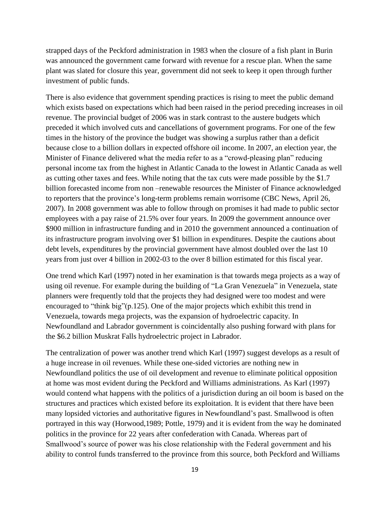strapped days of the Peckford administration in 1983 when the closure of a fish plant in Burin was announced the government came forward with revenue for a rescue plan. When the same plant was slated for closure this year, government did not seek to keep it open through further investment of public funds.

There is also evidence that government spending practices is rising to meet the public demand which exists based on expectations which had been raised in the period preceding increases in oil revenue. The provincial budget of 2006 was in stark contrast to the austere budgets which preceded it which involved cuts and cancellations of government programs. For one of the few times in the history of the province the budget was showing a surplus rather than a deficit because close to a billion dollars in expected offshore oil income. In 2007, an election year, the Minister of Finance delivered what the media refer to as a "crowd-pleasing plan" reducing personal income tax from the highest in Atlantic Canada to the lowest in Atlantic Canada as well as cutting other taxes and fees. While noting that the tax cuts were made possible by the \$1.7 billion forecasted income from non –renewable resources the Minister of Finance acknowledged to reporters that the province's long-term problems remain worrisome (CBC News, April 26, 2007). In 2008 government was able to follow through on promises it had made to public sector employees with a pay raise of 21.5% over four years. In 2009 the government announce over \$900 million in infrastructure funding and in 2010 the government announced a continuation of its infrastructure program involving over \$1 billion in expenditures. Despite the cautions about debt levels, expenditures by the provincial government have almost doubled over the last 10 years from just over 4 billion in 2002-03 to the over 8 billion estimated for this fiscal year.

One trend which Karl (1997) noted in her examination is that towards mega projects as a way of using oil revenue. For example during the building of "La Gran Venezuela" in Venezuela, state planners were frequently told that the projects they had designed were too modest and were encouraged to "think big" (p.125). One of the major projects which exhibit this trend in Venezuela, towards mega projects, was the expansion of hydroelectric capacity. In Newfoundland and Labrador government is coincidentally also pushing forward with plans for the \$6.2 billion Muskrat Falls hydroelectric project in Labrador.

The centralization of power was another trend which Karl (1997) suggest develops as a result of a huge increase in oil revenues. While these one-sided victories are nothing new in Newfoundland politics the use of oil development and revenue to eliminate political opposition at home was most evident during the Peckford and Williams administrations. As Karl (1997) would contend what happens with the politics of a jurisdiction during an oil boom is based on the structures and practices which existed before its exploitation. It is evident that there have been many lopsided victories and authoritative figures in Newfoundland's past. Smallwood is often portrayed in this way (Horwood,1989; Pottle, 1979) and it is evident from the way he dominated politics in the province for 22 years after confederation with Canada. Whereas part of Smallwood's source of power was his close relationship with the Federal government and his ability to control funds transferred to the province from this source, both Peckford and Williams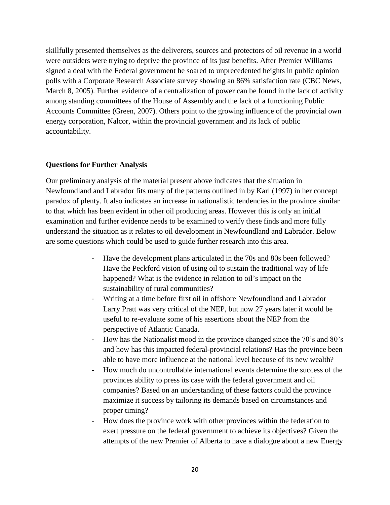skillfully presented themselves as the deliverers, sources and protectors of oil revenue in a world were outsiders were trying to deprive the province of its just benefits. After Premier Williams signed a deal with the Federal government he soared to unprecedented heights in public opinion polls with a Corporate Research Associate survey showing an 86% satisfaction rate (CBC News, March 8, 2005). Further evidence of a centralization of power can be found in the lack of activity among standing committees of the House of Assembly and the lack of a functioning Public Accounts Committee (Green, 2007). Others point to the growing influence of the provincial own energy corporation, Nalcor, within the provincial government and its lack of public accountability.

#### **Questions for Further Analysis**

Our preliminary analysis of the material present above indicates that the situation in Newfoundland and Labrador fits many of the patterns outlined in by Karl (1997) in her concept paradox of plenty. It also indicates an increase in nationalistic tendencies in the province similar to that which has been evident in other oil producing areas. However this is only an initial examination and further evidence needs to be examined to verify these finds and more fully understand the situation as it relates to oil development in Newfoundland and Labrador. Below are some questions which could be used to guide further research into this area.

- Have the development plans articulated in the 70s and 80s been followed? Have the Peckford vision of using oil to sustain the traditional way of life happened? What is the evidence in relation to oil's impact on the sustainability of rural communities?
- Writing at a time before first oil in offshore Newfoundland and Labrador Larry Pratt was very critical of the NEP, but now 27 years later it would be useful to re-evaluate some of his assertions about the NEP from the perspective of Atlantic Canada.
- How has the Nationalist mood in the province changed since the 70's and 80's and how has this impacted federal-provincial relations? Has the province been able to have more influence at the national level because of its new wealth?
- How much do uncontrollable international events determine the success of the provinces ability to press its case with the federal government and oil companies? Based on an understanding of these factors could the province maximize it success by tailoring its demands based on circumstances and proper timing?
- How does the province work with other provinces within the federation to exert pressure on the federal government to achieve its objectives? Given the attempts of the new Premier of Alberta to have a dialogue about a new Energy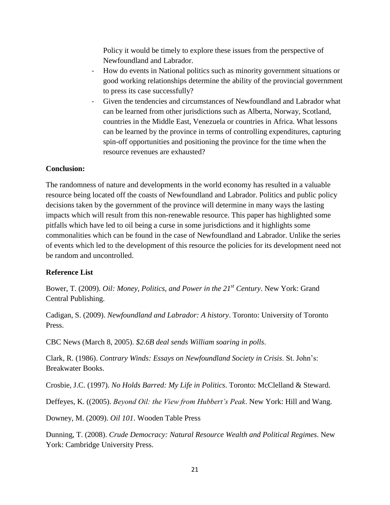Policy it would be timely to explore these issues from the perspective of Newfoundland and Labrador.

- How do events in National politics such as minority government situations or good working relationships determine the ability of the provincial government to press its case successfully?
- Given the tendencies and circumstances of Newfoundland and Labrador what can be learned from other jurisdictions such as Alberta, Norway, Scotland, countries in the Middle East, Venezuela or countries in Africa. What lessons can be learned by the province in terms of controlling expenditures, capturing spin-off opportunities and positioning the province for the time when the resource revenues are exhausted?

## **Conclusion:**

The randomness of nature and developments in the world economy has resulted in a valuable resource being located off the coasts of Newfoundland and Labrador. Politics and public policy decisions taken by the government of the province will determine in many ways the lasting impacts which will result from this non-renewable resource. This paper has highlighted some pitfalls which have led to oil being a curse in some jurisdictions and it highlights some commonalities which can be found in the case of Newfoundland and Labrador. Unlike the series of events which led to the development of this resource the policies for its development need not be random and uncontrolled.

# **Reference List**

Bower, T. (2009). *Oil: Money, Politics, and Power in the 21st Century*. New York: Grand Central Publishing.

Cadigan, S. (2009). *Newfoundland and Labrador: A history*. Toronto: University of Toronto Press.

CBC News (March 8, 2005). *\$2.6B deal sends William soaring in polls*.

Clark, R. (1986). *Contrary Winds: Essays on Newfoundland Society in Crisis*. St. John's: Breakwater Books.

Crosbie, J.C. (1997). *No Holds Barred: My Life in Politics*. Toronto: McClelland & Steward.

Deffeyes, K. ((2005). *Beyond Oil: the View from Hubbert's Peak*. New York: Hill and Wang.

Downey, M. (2009). *Oil 101*. Wooden Table Press

Dunning, T. (2008). *Crude Democracy: Natural Resource Wealth and Political Regimes*. New York: Cambridge University Press.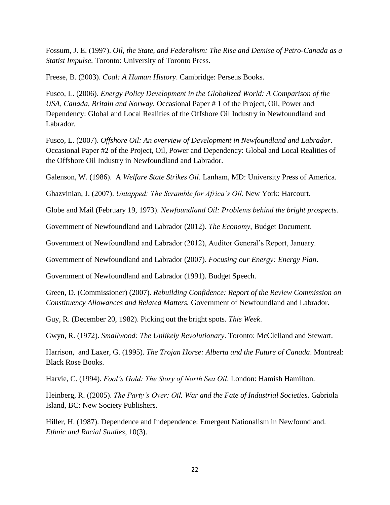Fossum, J. E. (1997). *Oil, the State, and Federalism: The Rise and Demise of Petro-Canada as a Statist Impulse*. Toronto: University of Toronto Press.

Freese, B. (2003). *Coal: A Human History*. Cambridge: Perseus Books.

Fusco, L. (2006). *Energy Policy Development in the Globalized World: A Comparison of the USA, Canada, Britain and Norway*. Occasional Paper # 1 of the Project, Oil, Power and Dependency: Global and Local Realities of the Offshore Oil Industry in Newfoundland and Labrador.

Fusco, L. (2007). *Offshore Oil: An overview of Development in Newfoundland and Labrador*. Occasional Paper #2 of the Project, Oil, Power and Dependency: Global and Local Realities of the Offshore Oil Industry in Newfoundland and Labrador.

Galenson, W. (1986). A *Welfare State Strikes Oil*. Lanham, MD: University Press of America.

Ghazvinian, J. (2007). *Untapped: The Scramble for Africa's Oil*. New York: Harcourt.

Globe and Mail (February 19, 1973). *Newfoundland Oil: Problems behind the bright prospects*.

Government of Newfoundland and Labrador (2012). *The Economy*, Budget Document.

Government of Newfoundland and Labrador (2012), Auditor General's Report, January.

Government of Newfoundland and Labrador (2007). *Focusing our Energy: Energy Plan*.

Government of Newfoundland and Labrador (1991). Budget Speech.

Green, D. (Commissioner) (2007). *Rebuilding Confidence: Report of the Review Commission on Constituency Allowances and Related Matters.* Government of Newfoundland and Labrador.

Guy, R. (December 20, 1982). Picking out the bright spots. *This Week*.

Gwyn, R. (1972). *Smallwood: The Unlikely Revolutionary*. Toronto: McClelland and Stewart.

Harrison, and Laxer, G. (1995). *The Trojan Horse: Alberta and the Future of Canada*. Montreal: Black Rose Books.

Harvie, C. (1994). *Fool's Gold: The Story of North Sea Oil*. London: Hamish Hamilton.

Heinberg, R. ((2005). *The Party's Over: Oil, War and the Fate of Industrial Societies*. Gabriola Island, BC: New Society Publishers.

Hiller, H. (1987). Dependence and Independence: Emergent Nationalism in Newfoundland. *Ethnic and Racial Studies*, 10(3).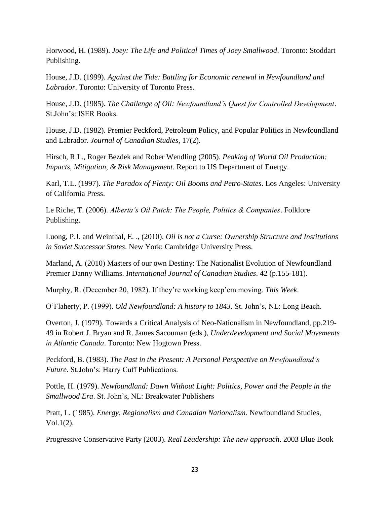Horwood, H. (1989). *Joey: The Life and Political Times of Joey Smallwood*. Toronto: Stoddart Publishing.

House, J.D. (1999). *Against the Tide: Battling for Economic renewal in Newfoundland and Labrador*. Toronto: University of Toronto Press.

House, J.D. (1985). *The Challenge of Oil: Newfoundland's Quest for Controlled Development*. St.John's: ISER Books.

House, J.D. (1982). Premier Peckford, Petroleum Policy, and Popular Politics in Newfoundland and Labrador. *Journal of Canadian Studies*, 17(2).

Hirsch, R.L., Roger Bezdek and Rober Wendling (2005). *Peaking of World Oil Production: Impacts, Mitigation, & Risk Management*. Report to US Department of Energy.

Karl, T.L. (1997). *The Paradox of Plenty: Oil Booms and Petro-States*. Los Angeles: University of California Press.

Le Riche, T. (2006). *Alberta's Oil Patch: The People, Politics & Companies*. Folklore Publishing.

Luong, P.J. and Weinthal, E. ., (2010). *Oil is not a Curse: Ownership Structure and Institutions in Soviet Successor States*. New York: Cambridge University Press.

Marland, A. (2010) Masters of our own Destiny: The Nationalist Evolution of Newfoundland Premier Danny Williams. *International Journal of Canadian Studies*. 42 (p.155-181).

Murphy, R. (December 20, 1982). If they're working keep'em moving. *This Week*.

O'Flaherty, P. (1999). *Old Newfoundland: A history to 1843*. St. John's, NL: Long Beach.

Overton, J. (1979). Towards a Critical Analysis of Neo-Nationalism in Newfoundland, pp.219- 49 in Robert J. Bryan and R. James Sacouman (eds.), *Underdevelopment and Social Movements in Atlantic Canada*. Toronto: New Hogtown Press.

Peckford, B. (1983). *The Past in the Present: A Personal Perspective on Newfoundland's Future*. St.John's: Harry Cuff Publications.

Pottle, H. (1979). *Newfoundland: Dawn Without Light: Politics, Power and the People in the Smallwood Era*. St. John's, NL: Breakwater Publishers

Pratt, L. (1985). *Energy, Regionalism and Canadian Nationalism*. Newfoundland Studies, Vol.1(2).

Progressive Conservative Party (2003). *Real Leadership: The new approach*. 2003 Blue Book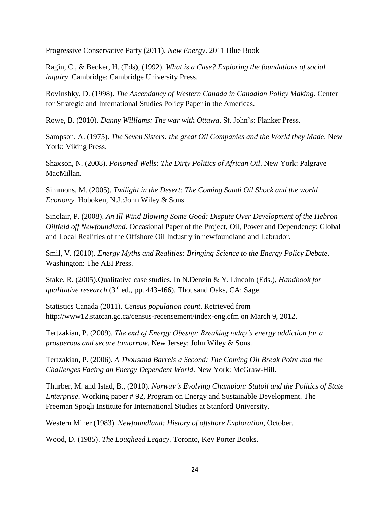Progressive Conservative Party (2011). *New Energy*. 2011 Blue Book

Ragin, C., & Becker, H. (Eds), (1992). *What is a Case? Exploring the foundations of social inquiry*. Cambridge: Cambridge University Press.

Rovinshky, D. (1998). *The Ascendancy of Western Canada in Canadian Policy Making*. Center for Strategic and International Studies Policy Paper in the Americas.

Rowe, B. (2010). *Danny Williams: The war with Ottawa*. St. John's: Flanker Press.

Sampson, A. (1975). *The Seven Sisters: the great Oil Companies and the World they Made*. New York: Viking Press.

Shaxson, N. (2008). *Poisoned Wells: The Dirty Politics of African Oil*. New York: Palgrave MacMillan.

Simmons, M. (2005). *Twilight in the Desert: The Coming Saudi Oil Shock and the world Economy*. Hoboken, N.J.:John Wiley & Sons.

Sinclair, P. (2008). *An Ill Wind Blowing Some Good: Dispute Over Development of the Hebron Oilfield off Newfoundland*. Occasional Paper of the Project, Oil, Power and Dependency: Global and Local Realities of the Offshore Oil Industry in newfoundland and Labrador.

Smil, V. (2010). *Energy Myths and Realities: Bringing Science to the Energy Policy Debate*. Washington: The AEI Press.

Stake, R. (2005).Qualitative case studies. In N.Denzin & Y. Lincoln (Eds.), *Handbook for qualitative research* (3<sup>rd</sup> ed., pp. 443-466). Thousand Oaks, CA: Sage.

Statistics Canada (2011). *Census population count*. Retrieved from http://www12.statcan.gc.ca/census-recensement/index-eng.cfm on March 9, 2012.

Tertzakian, P. (2009). *The end of Energy Obesity: Breaking today's energy addiction for a prosperous and secure tomorrow*. New Jersey: John Wiley & Sons.

Tertzakian, P. (2006). *A Thousand Barrels a Second: The Coming Oil Break Point and the Challenges Facing an Energy Dependent World*. New York: McGraw-Hill.

Thurber, M. and Istad, B., (2010). *Norway's Evolving Champion: Statoil and the Politics of State Enterprise*. Working paper # 92, Program on Energy and Sustainable Development. The Freeman Spogli Institute for International Studies at Stanford University.

Western Miner (1983). *Newfoundland: History of offshore Exploration*, October.

Wood, D. (1985). *The Lougheed Legacy*. Toronto, Key Porter Books.